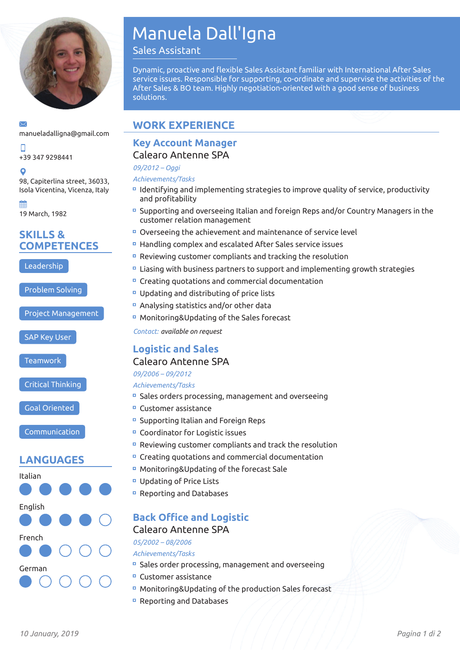

#### $\overline{\times}$

manueladalligna@gmail.com

 $\Box$ +39 347 9298441

#### $\bullet$

98, Capiterlina street, 36033, Isola Vicentina, Vicenza, Italy

#### 酣

19 March, 1982

## **SKILLS & COMPETENCES**

Leadership

**Problem Solving** 

Project Management

**SAP Key User** 

**Teamwork** 

**Critical Thinking** 

**Goal Oriented** 

Communication

## **LANGUAGES**













# Manuela Dall'Igna

**Sales Assistant** 

Dynamic, proactive and flexible Sales Assistant familiar with International After Sales service issues. Responsible for supporting, co-ordinate and supervise the activities of the After Sales & BO team. Highly negotiation-oriented with a good sense of business solutions.

# **WORK EXPERIENCE**

## **Key Account Manager Calearo Antenne SPA**

09/2012 - Oggi

### Achievements/Tasks

- <sup>n</sup> Identifying and implementing strategies to improve quality of service, productivity and profitability
- <sup>D</sup> Supporting and overseeing Italian and foreign Reps and/or Country Managers in the customer relation management
- □ Overseeing the achievement and maintenance of service level
- **E** Handling complex and escalated After Sales service issues
- $\blacksquare$  Reviewing customer compliants and tracking the resolution
- □ Liasing with business partners to support and implementing growth strategies
- <sup>D</sup> Creating quotations and commercial documentation
	- □ Updating and distributing of price lists
	- Analysing statistics and/or other data
	- □ Monitoring&Updating of the Sales forecast

Contact: available on request

## **Logistic and Sales**

## **Calearo Antenne SPA**

 $09/2006 - 09/2012$ 

#### Achievements/Tasks

- □ Sales orders processing, management and overseeing
- □ Customer assistance
- □ Supporting Italian and Foreign Reps
- <sup>D</sup> Coordinator for Logistic issues
- Reviewing customer compliants and track the resolution
- □ Creating quotations and commercial documentation
- <sup>n</sup> Monitoring&Updating of the forecast Sale
- □ Updating of Price Lists
- <sup>D</sup> Reporting and Databases

# **Back Office and Logistic**

## **Calearo Antenne SPA**

## $05/2002 - 08/2006$

Achievements/Tasks

- □ Sales order processing, management and overseeing
- <sup>"</sup> Customer assistance
- <sup>n</sup> Monitoring&Updating of the production Sales forecast
- □ Reporting and Databases